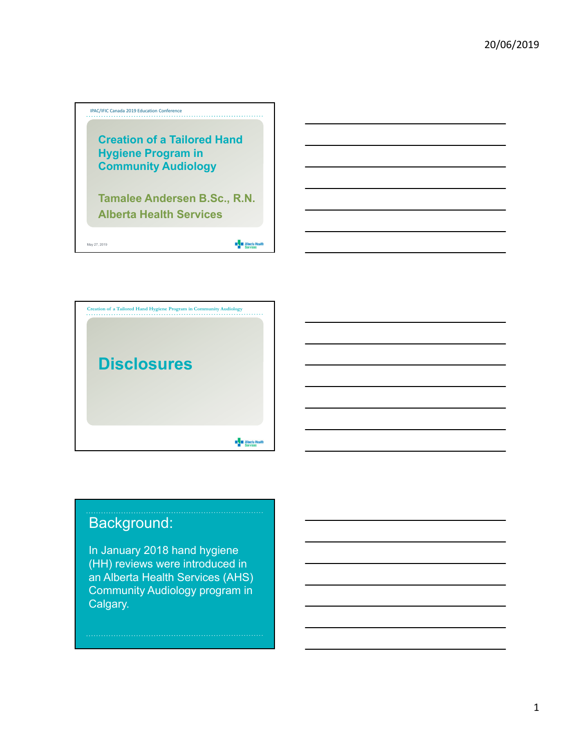



# Background:

In January 2018 hand hygiene (HH) reviews were introduced in an Alberta Health Services (AHS) Community Audiology program in Calgary.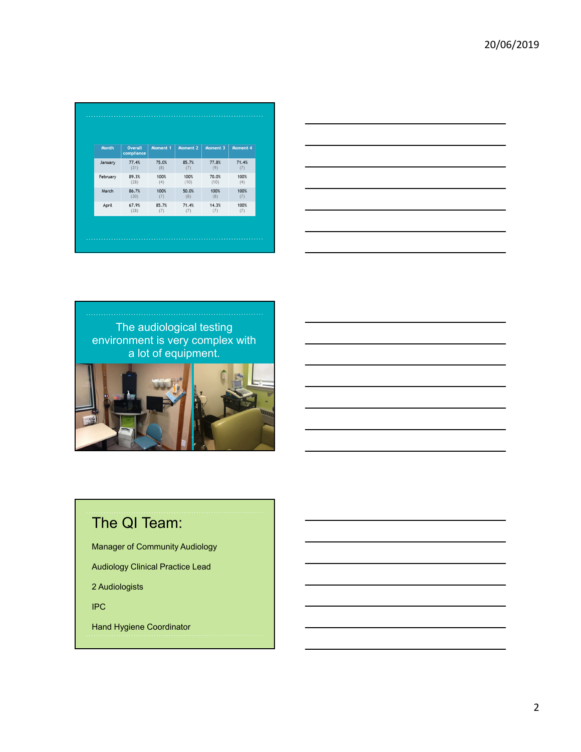| <b>Month</b> | <b>Overall</b><br>compliance | Moment 1 | Moment 2 | Moment 3 | Moment 4 |
|--------------|------------------------------|----------|----------|----------|----------|
| January      | 77.4%                        | 75.0%    | 85.7%    | 77.8%    | 71.4%    |
|              | (31)                         | (8)      | (7)      | (9)      | (7)      |
| February     | 89.3%                        | 100%     | 100%     | 70.0%    | 100%     |
|              | (28)                         | (4)      | (10)     | (10)     | (4)      |
| March        | 86.7%                        | 100%     | 50.0%    | 100%     | 100%     |
|              | (30)                         | (7)      | (8)      | (8)      | (7)      |
| April        | 67.9%                        | 85.7%    | 71.4%    | 14.3%    | 100%     |
|              | (28)                         | (7)      | (7)      | (7)      | (7)      |





# The QI Team:

Manager of Community Audiology

Audiology Clinical Practice Lead

2 Audiologists

IPC

Hand Hygiene Coordinator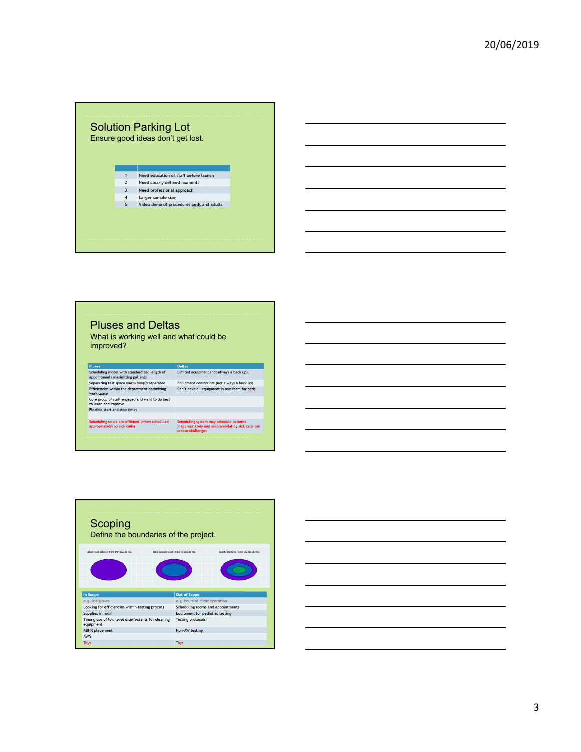### Solution Parking Lot Ensure good ideas don't get lost. Need education of staff before launch  $\sqrt{2}$ Need clearly defined moments  $3<sup>7</sup>$ Need professional approach  $\begin{array}{c} 4 \\ 5 \end{array}$ Larger sample size Video demo of procedure: peds and adults

## Pluses and Deltas What is working well and what could be improved? Pluses<br>
Scheduling model with standardized length of<br>
Limited equipment (not always a back up).<br>
Sepparations: maximizing patients<br>
Separation is exparated<br>
Equipment constraints (not always a back up)<br>
Uniformized with th Equipment constraints (not always a back up)<br>Can't have all equipment in one room for <u>peds</u> work space<br>Core group of staff engaged and want to do best<br>to learn and improve<br>Flexible start and stop times Scheduling system may schedule patients<br>inappropriately and accommodating sick calls can<br>create challenges Scheduling so we are efficient (when scheduled<br>appropriately/no sick calls)



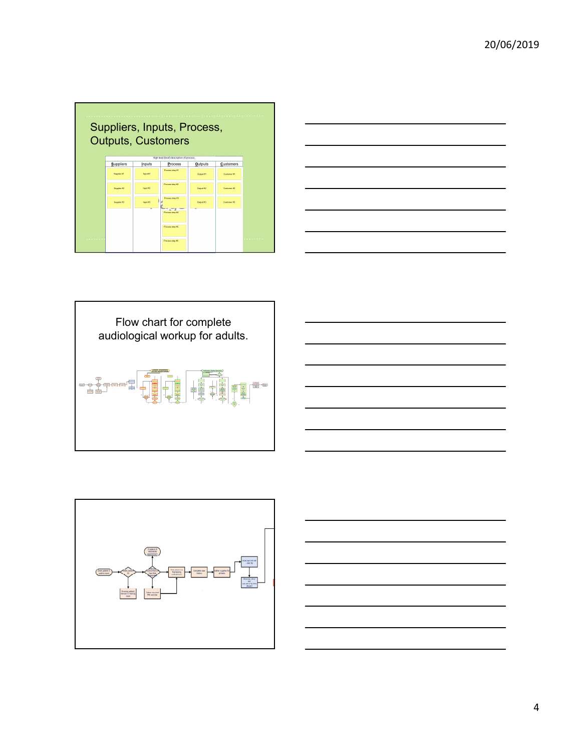|                                    | Suppliers, Inputs, Process,<br><b>Outputs, Customers</b><br>High level (brief) description of process. |               |                 |                |                  |   |  |  |  |
|------------------------------------|--------------------------------------------------------------------------------------------------------|---------------|-----------------|----------------|------------------|---|--|--|--|
|                                    |                                                                                                        |               | <b>Process</b>  | <b>Outputs</b> | <b>Customers</b> |   |  |  |  |
|                                    | <b>Suppliers</b>                                                                                       | <b>Inputs</b> |                 |                |                  |   |  |  |  |
|                                    | Supplier #1                                                                                            | Input #1      | Process step #1 | Output #1      | Castivnor #1     |   |  |  |  |
|                                    | Supplier #2                                                                                            | Incut #2      | Process step #2 | Output #2      | Customer #7      |   |  |  |  |
|                                    | Supplier #3                                                                                            | Incut #3      | Process step #3 | Cutrus #3      | Customer #3      |   |  |  |  |
|                                    |                                                                                                        |               | Process step #4 |                |                  |   |  |  |  |
|                                    |                                                                                                        |               | Process step AS |                |                  |   |  |  |  |
| <b><i><u>ALCOHOL: 1999</u></i></b> |                                                                                                        |               | Process step #6 |                |                  | . |  |  |  |

| $\overline{\phantom{a}}$<br>__ | and the contract of the contract of the contract of the contract of the contract of |  |
|--------------------------------|-------------------------------------------------------------------------------------|--|
|                                |                                                                                     |  |
|                                |                                                                                     |  |
|                                |                                                                                     |  |
|                                |                                                                                     |  |
|                                |                                                                                     |  |
|                                |                                                                                     |  |
|                                |                                                                                     |  |
|                                |                                                                                     |  |
|                                |                                                                                     |  |
|                                |                                                                                     |  |
|                                |                                                                                     |  |
|                                |                                                                                     |  |
|                                |                                                                                     |  |
|                                |                                                                                     |  |
|                                |                                                                                     |  |
|                                |                                                                                     |  |
|                                |                                                                                     |  |
|                                |                                                                                     |  |
|                                |                                                                                     |  |







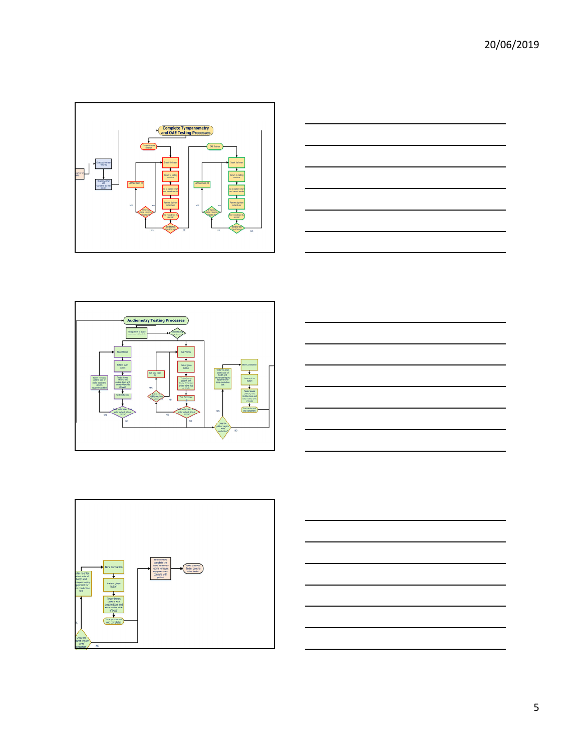









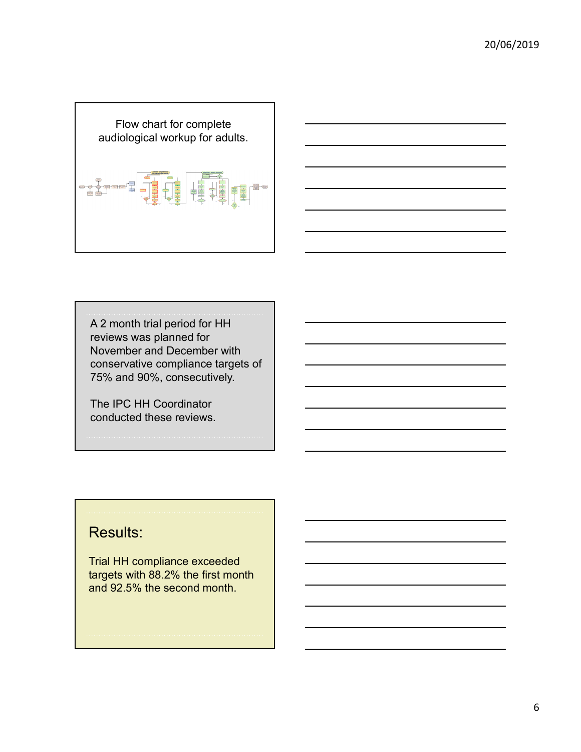



A 2 month trial period for HH reviews was planned for November and December with conservative compliance targets of 75% and 90%, consecutively.

The IPC HH Coordinator conducted these reviews.

## Results:

Trial HH compliance exceeded targets with 88.2% the first month and 92.5% the second month.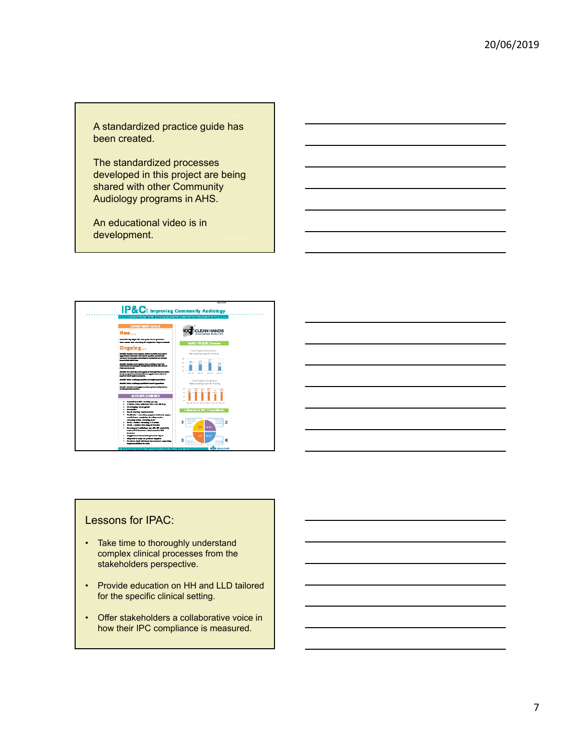A standardized practice guide has been created.

The standardized processes developed in this project are being shared with other Community Audiology programs in AHS.

An educational video is in development.



#### Lessons for IPAC:

- Take time to thoroughly understand complex clinical processes from the stakeholders perspective.
- Provide education on HH and LLD tailored for the specific clinical setting.
- Offer stakeholders a collaborative voice in how their IPC compliance is measured.